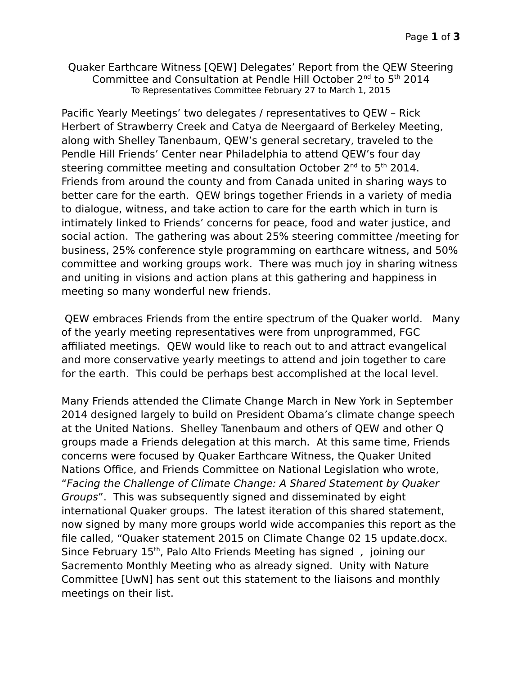Quaker Earthcare Witness [QEW] Delegates' Report from the QEW Steering Committee and Consultation at Pendle Hill October 2nd to 5th 2014 To Representatives Committee February 27 to March 1, 2015

Pacific Yearly Meetings' two delegates / representatives to QEW – Rick Herbert of Strawberry Creek and Catya de Neergaard of Berkeley Meeting, along with Shelley Tanenbaum, QEW's general secretary, traveled to the Pendle Hill Friends' Center near Philadelphia to attend QEW's four day steering committee meeting and consultation October  $2^{nd}$  to  $5^{th}$  2014. Friends from around the county and from Canada united in sharing ways to better care for the earth. QEW brings together Friends in a variety of media to dialogue, witness, and take action to care for the earth which in turn is intimately linked to Friends' concerns for peace, food and water justice, and social action. The gathering was about 25% steering committee /meeting for business, 25% conference style programming on earthcare witness, and 50% committee and working groups work. There was much joy in sharing witness and uniting in visions and action plans at this gathering and happiness in meeting so many wonderful new friends.

 QEW embraces Friends from the entire spectrum of the Quaker world. Many of the yearly meeting representatives were from unprogrammed, FGC affiliated meetings. QEW would like to reach out to and attract evangelical and more conservative yearly meetings to attend and join together to care for the earth. This could be perhaps best accomplished at the local level.

Many Friends attended the Climate Change March in New York in September 2014 designed largely to build on President Obama's climate change speech at the United Nations. Shelley Tanenbaum and others of QEW and other Q groups made a Friends delegation at this march. At this same time, Friends concerns were focused by Quaker Earthcare Witness, the Quaker United Nations Office, and Friends Committee on National Legislation who wrote, "Facing the Challenge of Climate Change: A Shared Statement by Quaker Groups". This was subsequently signed and disseminated by eight international Quaker groups. The latest iteration of this shared statement, now signed by many more groups world wide accompanies this report as the file called, "Quaker statement 2015 on Climate Change 02 15 update.docx. Since February 15<sup>th</sup>, Palo Alto Friends Meeting has signed, joining our Sacremento Monthly Meeting who as already signed. Unity with Nature Committee [UwN] has sent out this statement to the liaisons and monthly meetings on their list.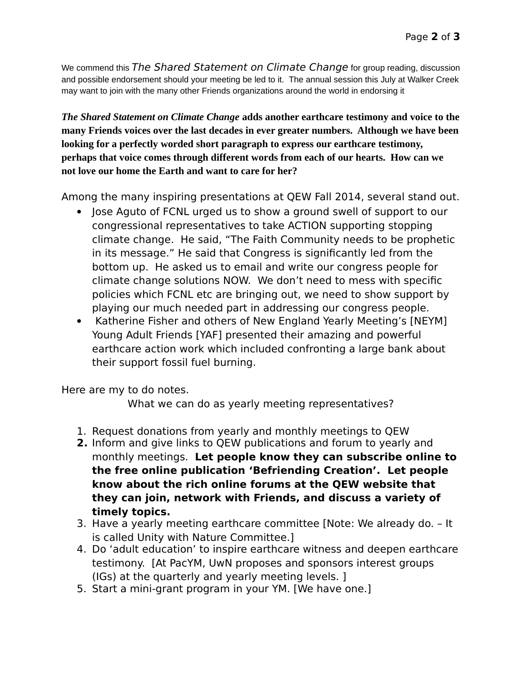We commend this The Shared Statement on Climate Change for group reading, discussion and possible endorsement should your meeting be led to it. The annual session this July at Walker Creek may want to join with the many other Friends organizations around the world in endorsing it

*The Shared Statement on Climate Change* **adds another earthcare testimony and voice to the many Friends voices over the last decades in ever greater numbers. Although we have been looking for a perfectly worded short paragraph to express our earthcare testimony, perhaps that voice comes through different words from each of our hearts. How can we not love our home the Earth and want to care for her?**

Among the many inspiring presentations at QEW Fall 2014, several stand out.

- Jose Aguto of FCNL urged us to show a ground swell of support to our congressional representatives to take ACTION supporting stopping climate change. He said, "The Faith Community needs to be prophetic in its message." He said that Congress is significantly led from the bottom up. He asked us to email and write our congress people for climate change solutions NOW. We don't need to mess with specific policies which FCNL etc are bringing out, we need to show support by playing our much needed part in addressing our congress people.
- Katherine Fisher and others of New England Yearly Meeting's [NEYM] Young Adult Friends [YAF] presented their amazing and powerful earthcare action work which included confronting a large bank about their support fossil fuel burning.

Here are my to do notes.

What we can do as yearly meeting representatives?

- 1. Request donations from yearly and monthly meetings to QEW
- **2.** Inform and give links to QEW publications and forum to yearly and monthly meetings. **Let people know they can subscribe online to the free online publication 'Befriending Creation'. Let people know about the rich online forums at the QEW website that they can join, network with Friends, and discuss a variety of timely topics.**
- 3. Have a yearly meeting earthcare committee [Note: We already do. It is called Unity with Nature Committee.]
- 4. Do 'adult education' to inspire earthcare witness and deepen earthcare testimony. [At PacYM, UwN proposes and sponsors interest groups (IGs) at the quarterly and yearly meeting levels. ]
- 5. Start a mini-grant program in your YM. [We have one.]